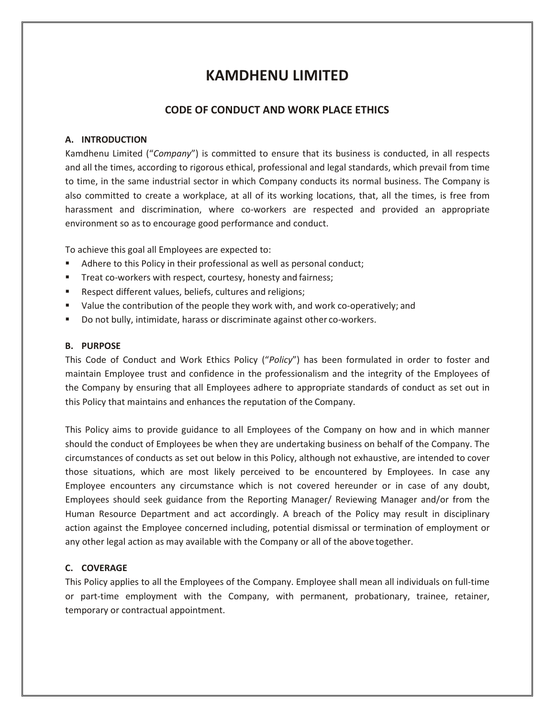# **KAMDHENU LIMITED**

# **CODE OF CONDUCT AND WORK PLACE ETHICS**

# **A. INTRODUCTION**

Kamdhenu Limited ("*Company*") is committed to ensure that its business is conducted, in all respects and all the times, according to rigorous ethical, professional and legal standards, which prevail from time to time, in the same industrial sector in which Company conducts its normal business. The Company is also committed to create a workplace, at all of its working locations, that, all the times, is free from harassment and discrimination, where co-workers are respected and provided an appropriate environment so as to encourage good performance and conduct.

To achieve this goal all Employees are expected to:

- Adhere to this Policy in their professional as well as personal conduct;
- Treat co-workers with respect, courtesy, honesty and fairness;
- Respect different values, beliefs, cultures and religions;
- Value the contribution of the people they work with, and work co-operatively; and
- Do not bully, intimidate, harass or discriminate against other co-workers.

#### **B. PURPOSE**

This Code of Conduct and Work Ethics Policy ("*Policy*") has been formulated in order to foster and maintain Employee trust and confidence in the professionalism and the integrity of the Employees of the Company by ensuring that all Employees adhere to appropriate standards of conduct as set out in this Policy that maintains and enhances the reputation of the Company.

This Policy aims to provide guidance to all Employees of the Company on how and in which manner should the conduct of Employees be when they are undertaking business on behalf of the Company. The circumstances of conducts as set out below in this Policy, although not exhaustive, are intended to cover those situations, which are most likely perceived to be encountered by Employees. In case any Employee encounters any circumstance which is not covered hereunder or in case of any doubt, Employees should seek guidance from the Reporting Manager/ Reviewing Manager and/or from the Human Resource Department and act accordingly. A breach of the Policy may result in disciplinary action against the Employee concerned including, potential dismissal or termination of employment or any other legal action as may available with the Company or all of the above together.

## **C. COVERAGE**

This Policy applies to all the Employees of the Company. Employee shall mean all individuals on full-time or part-time employment with the Company, with permanent, probationary, trainee, retainer, temporary or contractual appointment.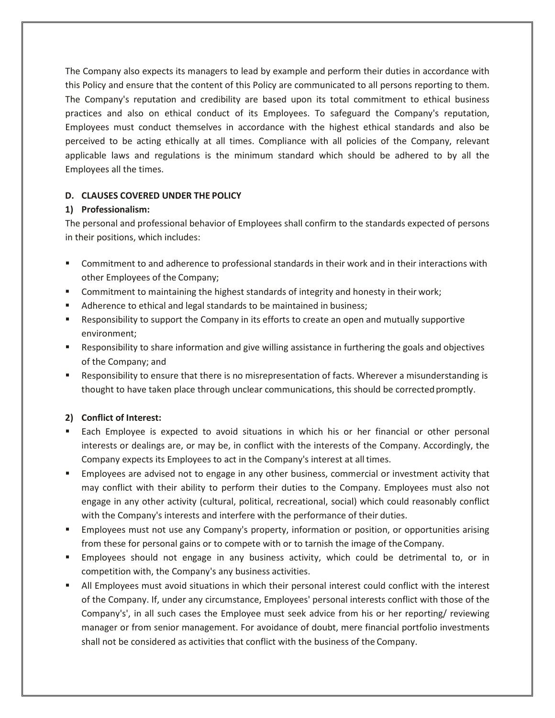The Company also expects its managers to lead by example and perform their duties in accordance with this Policy and ensure that the content of this Policy are communicated to all persons reporting to them. The Company's reputation and credibility are based upon its total commitment to ethical business practices and also on ethical conduct of its Employees. To safeguard the Company's reputation, Employees must conduct themselves in accordance with the highest ethical standards and also be perceived to be acting ethically at all times. Compliance with all policies of the Company, relevant applicable laws and regulations is the minimum standard which should be adhered to by all the Employees all the times.

# **D. CLAUSES COVERED UNDER THE POLICY**

# **1) Professionalism:**

The personal and professional behavior of Employees shall confirm to the standards expected of persons in their positions, which includes:

- Commitment to and adherence to professional standards in their work and in their interactions with other Employees of the Company;
- **Commitment to maintaining the highest standards of integrity and honesty in their work;**
- Adherence to ethical and legal standards to be maintained in business;
- Responsibility to support the Company in its efforts to create an open and mutually supportive environment;
- Responsibility to share information and give willing assistance in furthering the goals and objectives of the Company; and
- Responsibility to ensure that there is no misrepresentation of facts. Wherever a misunderstanding is thought to have taken place through unclear communications, this should be corrected promptly.

# **2) Conflict of Interest:**

- Each Employee is expected to avoid situations in which his or her financial or other personal interests or dealings are, or may be, in conflict with the interests of the Company. Accordingly, the Company expects its Employees to act in the Company's interest at all times.
- Employees are advised not to engage in any other business, commercial or investment activity that may conflict with their ability to perform their duties to the Company. Employees must also not engage in any other activity (cultural, political, recreational, social) which could reasonably conflict with the Company's interests and interfere with the performance of their duties.
- **Employees must not use any Company's property, information or position, or opportunities arising** from these for personal gains or to compete with or to tarnish the image of the Company.
- Employees should not engage in any business activity, which could be detrimental to, or in competition with, the Company's any business activities.
- All Employees must avoid situations in which their personal interest could conflict with the interest of the Company. If, under any circumstance, Employees' personal interests conflict with those of the Company's', in all such cases the Employee must seek advice from his or her reporting/ reviewing manager or from senior management. For avoidance of doubt, mere financial portfolio investments shall not be considered as activities that conflict with the business of the Company.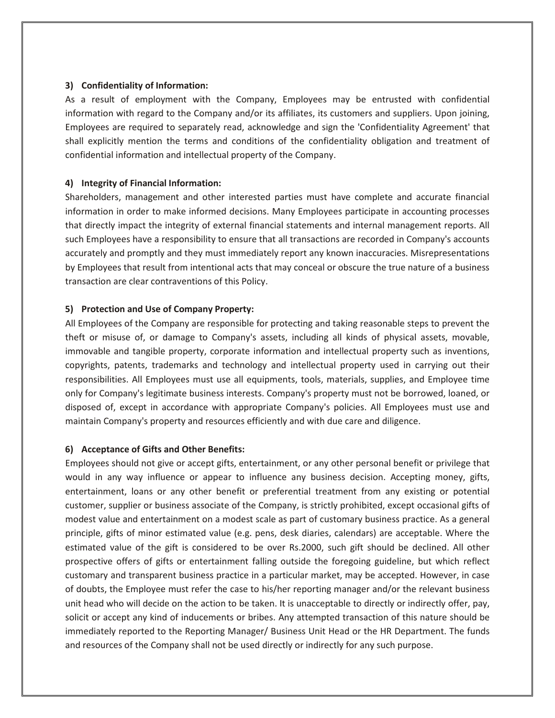#### **3) Confidentiality of Information:**

As a result of employment with the Company, Employees may be entrusted with confidential information with regard to the Company and/or its affiliates, its customers and suppliers. Upon joining, Employees are required to separately read, acknowledge and sign the 'Confidentiality Agreement' that shall explicitly mention the terms and conditions of the confidentiality obligation and treatment of confidential information and intellectual property of the Company.

# **4) Integrity of Financial Information:**

Shareholders, management and other interested parties must have complete and accurate financial information in order to make informed decisions. Many Employees participate in accounting processes that directly impact the integrity of external financial statements and internal management reports. All such Employees have a responsibility to ensure that all transactions are recorded in Company's accounts accurately and promptly and they must immediately report any known inaccuracies. Misrepresentations by Employees that result from intentional acts that may conceal or obscure the true nature of a business transaction are clear contraventions of this Policy.

## **5) Protection and Use of Company Property:**

All Employees of the Company are responsible for protecting and taking reasonable steps to prevent the theft or misuse of, or damage to Company's assets, including all kinds of physical assets, movable, immovable and tangible property, corporate information and intellectual property such as inventions, copyrights, patents, trademarks and technology and intellectual property used in carrying out their responsibilities. All Employees must use all equipments, tools, materials, supplies, and Employee time only for Company's legitimate business interests. Company's property must not be borrowed, loaned, or disposed of, except in accordance with appropriate Company's policies. All Employees must use and maintain Company's property and resources efficiently and with due care and diligence.

#### **6) Acceptance of Gifts and Other Benefits:**

Employees should not give or accept gifts, entertainment, or any other personal benefit or privilege that would in any way influence or appear to influence any business decision. Accepting money, gifts, entertainment, loans or any other benefit or preferential treatment from any existing or potential customer, supplier or business associate of the Company, is strictly prohibited, except occasional gifts of modest value and entertainment on a modest scale as part of customary business practice. As a general principle, gifts of minor estimated value (e.g. pens, desk diaries, calendars) are acceptable. Where the estimated value of the gift is considered to be over Rs.2000, such gift should be declined. All other prospective offers of gifts or entertainment falling outside the foregoing guideline, but which reflect customary and transparent business practice in a particular market, may be accepted. However, in case of doubts, the Employee must refer the case to his/her reporting manager and/or the relevant business unit head who will decide on the action to be taken. It is unacceptable to directly or indirectly offer, pay, solicit or accept any kind of inducements or bribes. Any attempted transaction of this nature should be immediately reported to the Reporting Manager/ Business Unit Head or the HR Department. The funds and resources of the Company shall not be used directly or indirectly for any such purpose.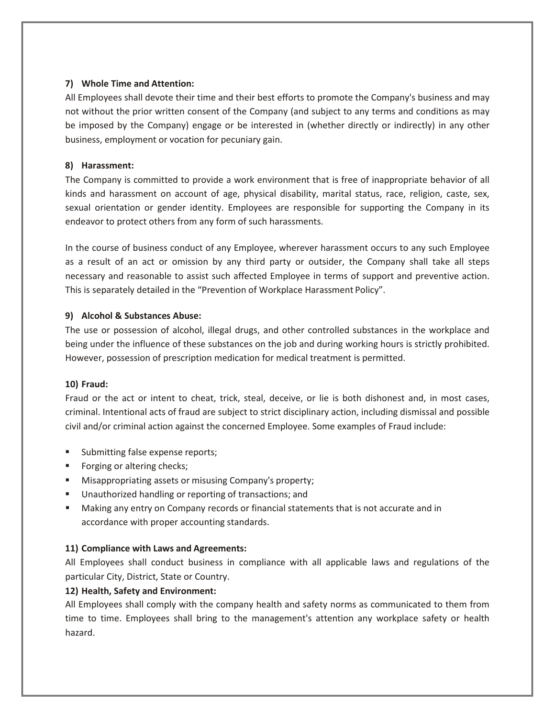## **7) Whole Time and Attention:**

All Employees shall devote their time and their best efforts to promote the Company's business and may not without the prior written consent of the Company (and subject to any terms and conditions as may be imposed by the Company) engage or be interested in (whether directly or indirectly) in any other business, employment or vocation for pecuniary gain.

## **8) Harassment:**

The Company is committed to provide a work environment that is free of inappropriate behavior of all kinds and harassment on account of age, physical disability, marital status, race, religion, caste, sex, sexual orientation or gender identity. Employees are responsible for supporting the Company in its endeavor to protect others from any form of such harassments.

In the course of business conduct of any Employee, wherever harassment occurs to any such Employee as a result of an act or omission by any third party or outsider, the Company shall take all steps necessary and reasonable to assist such affected Employee in terms of support and preventive action. This is separately detailed in the "Prevention of Workplace Harassment Policy".

## **9) Alcohol & Substances Abuse:**

The use or possession of alcohol, illegal drugs, and other controlled substances in the workplace and being under the influence of these substances on the job and during working hours is strictly prohibited. However, possession of prescription medication for medical treatment is permitted.

#### **10) Fraud:**

Fraud or the act or intent to cheat, trick, steal, deceive, or lie is both dishonest and, in most cases, criminal. Intentional acts of fraud are subject to strict disciplinary action, including dismissal and possible civil and/or criminal action against the concerned Employee. Some examples of Fraud include:

- Submitting false expense reports;
- **Fidding** or altering checks;
- **Misappropriating assets or misusing Company's property;**
- **Unauthorized handling or reporting of transactions; and**
- Making any entry on Company records or financial statements that is not accurate and in accordance with proper accounting standards.

#### **11) Compliance with Laws and Agreements:**

All Employees shall conduct business in compliance with all applicable laws and regulations of the particular City, District, State or Country.

#### **12) Health, Safety and Environment:**

All Employees shall comply with the company health and safety norms as communicated to them from time to time. Employees shall bring to the management's attention any workplace safety or health hazard.